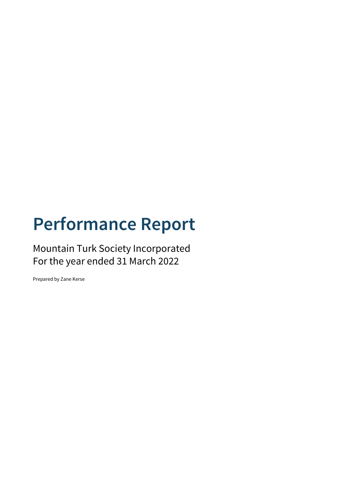# **Performance Report**

Mountain Turk Society Incorporated For the year ended 31 March 2022

Prepared by Zane Kerse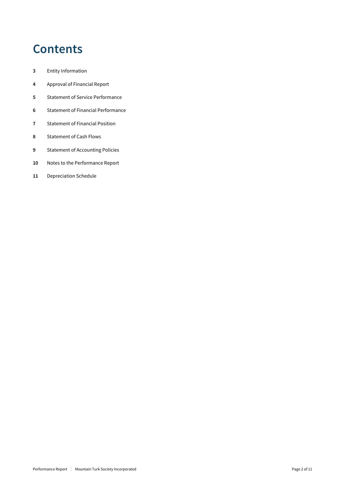## **Contents**

- Entity Information
- Approval of Financial Report
- Statement of Service Performance
- Statement of Financial Performance
- Statement of Financial Position
- Statement of Cash Flows
- Statement of Accounting Policies
- Notes to the Performance Report
- Depreciation Schedule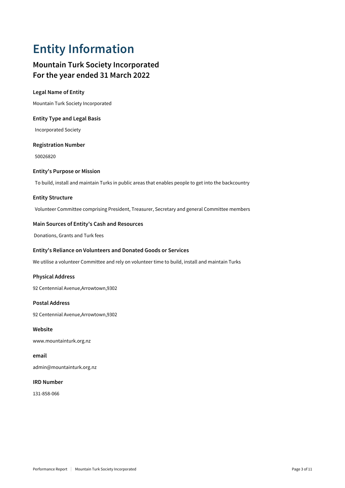## **Entity Information**

### **Mountain Turk Society Incorporated For the year ended 31 March 2022**

### **Legal Name of Entity**

Mountain Turk Society Incorporated

### **Entity Type and Legal Basis**

Incorporated Society

### **Registration Number**

50026820

### **Entity's Purpose or Mission**

To build, install and maintain Turks in public areas that enables people to get into the backcountry

### **Entity Structure**

Volunteer Committee comprising President, Treasurer, Secretary and general Committee members

### **Main Sources of Entity's Cash and Resources**

Donations, Grants and Turk fees

### **Entity's Reliance on Volunteers and Donated Goods or Services**

We utilise a volunteer Committee and rely on volunteer time to build, install and maintain Turks

### **Physical Address**

92 Centennial Avenue,Arrowtown,9302

### **Postal Address**

92 Centennial Avenue,Arrowtown,9302

### **Website**

www.mountainturk.org.nz

### **email**

admin@mountainturk.org.nz

#### **IRD Number**

131-858-066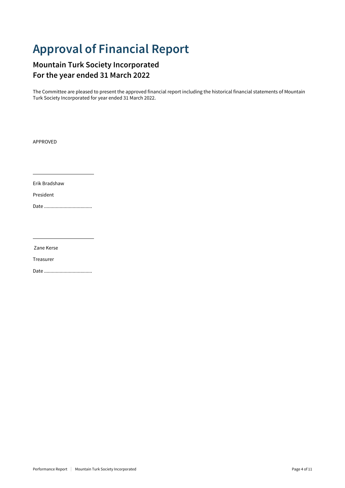## **Approval of Financial Report**

### **Mountain Turk Society Incorporated For the year ended 31 March 2022**

The Committee are pleased to present the approved financial report including the historical financial statements of Mountain Turk Society Incorporated for year ended 31 March 2022.

APPROVED

Erik Bradshaw

President

Date .....................................

Zane Kerse

Treasurer

Date .....................................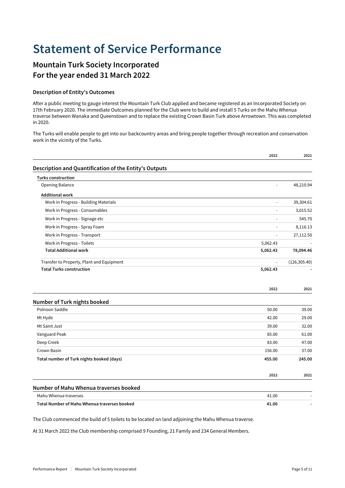## **Statement of Service Performance**

### **Mountain Turk Society Incorporated For the year ended 31 March 2022**

### **Description of Entity's Outcomes**

After a public meeting to gauge interest the Mountain Turk Club applied and became registered as an Incorporated Society on 17th February 2020. The immediate Outcomes planned for the Club were to build and install 5 Turks on the Mahu Whenua traverse between Wanaka and Queenstown and to replace the existing Crown Basin Turk above Arrowtown. This was completed in 2020.

The Turks will enable people to get into our backcountry areas and bring people together through recreation and conservation work in the vicinity of the Turks.

|                                                        | 2022                | 2021          |
|--------------------------------------------------------|---------------------|---------------|
| Description and Quantification of the Entity's Outputs |                     |               |
| <b>Turks construction</b>                              |                     |               |
| <b>Opening Balance</b>                                 | $\bar{\phantom{a}}$ | 48,210.94     |
| <b>Additional work</b>                                 |                     |               |
| Work in Progress - Building Materials                  | $\bar{\phantom{a}}$ | 39,304.61     |
| Work in Progress - Consumables                         | $\blacksquare$      | 3,015.52      |
| Work in Progress - Signage etc                         |                     | 545.70        |
| Work in Progress - Spray Foam                          |                     | 8,116.13      |
| Work in Progress - Transport                           | ÷,                  | 27,112.50     |
| Work in Progress - Toilets                             | 5,062.43            |               |
| <b>Total Additional work</b>                           | 5,062.43            | 78,094.46     |
| Transfer to Property, Plant and Equipment              | ÷,                  | (126, 305.40) |
| <b>Total Turks construction</b>                        | 5,062.43            |               |
|                                                        | 2022                | 2021          |
| Number of Turk nights booked                           |                     |               |
| Polnoon Saddle                                         | 50.00               | 39.00         |
| Mt Hyde                                                | 42.00               | 29.00         |
| Mt Saint Just                                          | 39.00               | 32.00         |
| Vanguard Peak                                          | 85.00               | 61.00         |
| Deep Creek                                             | 83.00               | 47.00         |
| Crown Basin                                            | 156.00              | 37.00         |
| Total number of Turk nights booked (days)              | 455.00              | 245.00        |
|                                                        | 2022                | 2021          |
| Number of Mahu Whenua traverses booked                 |                     |               |
| Mahu Whenua traverses                                  | 41.00               |               |
| Total Number of Mahu Whenua traverses booked           | 41.00               |               |

The Club commenced the build of 5 toilets to be located on land adjoining the Mahu Whenua traverse.

At 31 March 2022 the Club membership comprised 9 Founding, 21 Family and 234 General Members.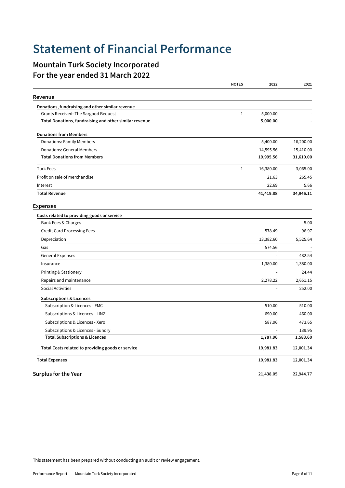## **Statement of Financial Performance**

### **Mountain Turk Society Incorporated For the year ended 31 March 2022**

|                                                        | <b>NOTES</b> | 2022      | 2021      |
|--------------------------------------------------------|--------------|-----------|-----------|
| Revenue                                                |              |           |           |
| Donations, fundraising and other similar revenue       |              |           |           |
| Grants Received: The Sargood Bequest                   | $1\,$        | 5,000.00  |           |
| Total Donations, fundraising and other similar revenue |              | 5,000.00  |           |
| <b>Donations from Members</b>                          |              |           |           |
| <b>Donations: Family Members</b>                       |              | 5,400.00  | 16,200.00 |
| Donations: General Members                             |              | 14,595.56 | 15,410.00 |
| <b>Total Donations from Members</b>                    |              | 19,995.56 | 31,610.00 |
| <b>Turk Fees</b>                                       | $1\,$        | 16,380.00 | 3,065.00  |
| Profit on sale of merchandise                          |              | 21.63     | 265.45    |
| Interest                                               |              | 22.69     | 5.66      |
| <b>Total Revenue</b>                                   |              | 41,419.88 | 34,946.11 |
| <b>Expenses</b>                                        |              |           |           |
| Costs related to providing goods or service            |              |           |           |
| Bank Fees & Charges                                    |              |           | 5.00      |
| <b>Credit Card Processing Fees</b>                     |              | 578.49    | 96.97     |
| Depreciation                                           |              | 13,382.60 | 5,525.64  |
| Gas                                                    |              | 574.56    |           |
| <b>General Expenses</b>                                |              |           | 482.54    |
| Insurance                                              |              | 1,380.00  | 1,380.00  |
| <b>Printing &amp; Stationery</b>                       |              |           | 24.44     |
| Repairs and maintenance                                |              | 2,278.22  | 2,651.15  |
| Social Activities                                      |              |           | 252.00    |
| <b>Subscriptions &amp; Licences</b>                    |              |           |           |
| Subscription & Licences - FMC                          |              | 510.00    | 510.00    |
| Subscriptions & Licences - LINZ                        |              | 690.00    | 460.00    |
| Subscriptions & Licences - Xero                        |              | 587.96    | 473.65    |
| Subscriptions & Licences - Sundry                      |              |           | 139.95    |
| <b>Total Subscriptions &amp; Licences</b>              |              | 1,787.96  | 1,583.60  |
| Total Costs related to providing goods or service      |              | 19,981.83 | 12,001.34 |
| <b>Total Expenses</b>                                  |              | 19,981.83 | 12,001.34 |
| <b>Surplus for the Year</b>                            |              | 21,438.05 | 22,944.77 |

This statement has been prepared without conducting an audit or review engagement.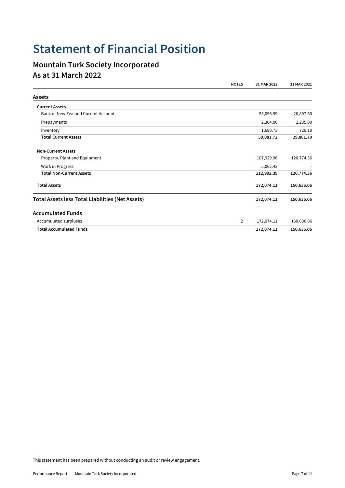## **Statement of Financial Position**

### **Mountain Turk Society Incorporated As at 31 March 2022**

|                                                         | <b>NOTES</b>   | 31 MAR 2022 | 31 MAR 2021 |
|---------------------------------------------------------|----------------|-------------|-------------|
| <b>Assets</b>                                           |                |             |             |
| <b>Current Assets</b>                                   |                |             |             |
| Bank of New Zealand Current Account                     |                | 55,096.99   | 26,897.60   |
| Prepayments                                             |                | 2,304.00    | 2,235.00    |
| Inventory                                               |                | 1,680.73    | 729.10      |
| <b>Total Current Assets</b>                             |                | 59,081.72   | 29,861.70   |
| <b>Non-Current Assets</b>                               |                |             |             |
| Property, Plant and Equipment                           |                | 107,929.96  | 120,774.36  |
| Work in Progress                                        |                | 5,062.43    |             |
| <b>Total Non-Current Assets</b>                         |                | 112,992.39  | 120,774.36  |
| <b>Total Assets</b>                                     |                | 172,074.11  | 150,636.06  |
| <b>Total Assets less Total Liabilities (Net Assets)</b> |                | 172,074.11  | 150,636.06  |
| <b>Accumulated Funds</b>                                |                |             |             |
| Accumulated surpluses                                   | $\overline{2}$ | 172,074.11  | 150,636.06  |
| <b>Total Accumulated Funds</b>                          |                | 172,074.11  | 150,636.06  |

This statement has been prepared without conducting an audit or review engagement.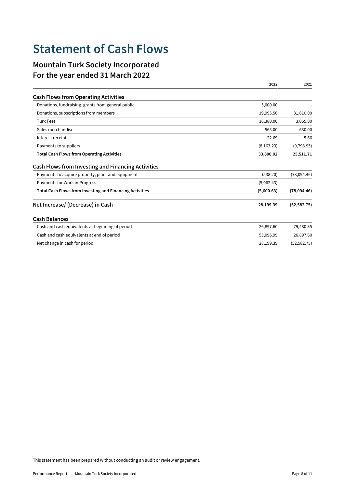## **Statement of Cash Flows**

### **Mountain Turk Society Incorporated For the year ended 31 March 2022**

|                                                                                                                | 2022        | 2021          |
|----------------------------------------------------------------------------------------------------------------|-------------|---------------|
| <b>Cash Flows from Operating Activities</b>                                                                    |             |               |
| Donations, fundraising, grants from general public                                                             | 5,000.00    |               |
| Donations, subscriptions from members                                                                          | 19,995.56   | 31,610.00     |
| <b>Turk Fees</b>                                                                                               | 16,380.00   | 3,065.00      |
| Sales merchandise                                                                                              | 565.00      | 630.00        |
| Interest receipts                                                                                              | 22.69       | 5.66          |
| Payments to suppliers                                                                                          | (8, 163.23) | (9,798.95)    |
| <b>Total Cash Flows from Operating Activities</b>                                                              | 33,800.02   | 25,511.71     |
| <b>Cash Flows from Investing and Financing Activities</b><br>Payments to acquire property, plant and equipment | (538.20)    | (78,094,46)   |
| Payments for Work in Progress                                                                                  | (5,062.43)  |               |
| <b>Total Cash Flows from Investing and Financing Activities</b>                                                | (5,600.63)  | (78,094.46)   |
| Net Increase/ (Decrease) in Cash                                                                               | 28,199.39   | (52, 582, 75) |
| <b>Cash Balances</b>                                                                                           |             |               |
| Cash and cash equivalents at beginning of period                                                               | 26,897.60   | 79,480.35     |
| Cash and cash equivalents at end of period                                                                     | 55,096.99   | 26,897.60     |
| Net change in cash for period                                                                                  | 28,199.39   | (52, 582.75)  |

This statement has been prepared without conducting an audit or review engagement.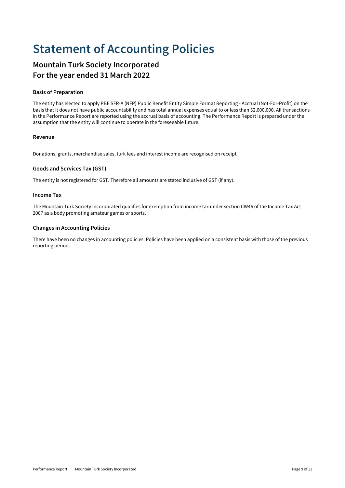## **Statement of Accounting Policies**

### **Mountain Turk Society Incorporated For the year ended 31 March 2022**

### **Basis of Preparation**

The entity has elected to apply PBE SFR-A (NFP) Public Benefit Entity Simple Format Reporting - Accrual (Not-For-Profit) on the basis that it does not have public accountability and has total annual expenses equal to or less than \$2,000,000. All transactions in the Performance Report are reported using the accrual basis of accounting. The Performance Report is prepared under the assumption that the entity will continue to operate in the foreseeable future.

### **Revenue**

Donations, grants, merchandise sales, turk fees and interest income are recognised on receipt.

### **Goods and Services Tax (GST)**

The entity is not registered for GST. Therefore all amounts are stated inclusive of GST (if any).

#### **Income Tax**

The Mountain Turk Society Incorporated qualifies for exemption from income tax under section CW46 of the Income Tax Act 2007 as a body promoting amateur games or sports.

### **Changes in Accounting Policies**

There have been no changes in accounting policies. Policies have been applied on a consistent basis with those of the previous reporting period.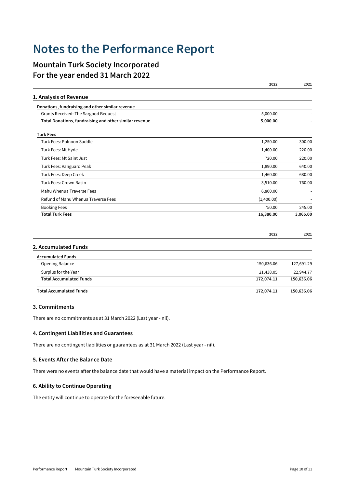### **Notes to the Performance Report**

### **Mountain Turk Society Incorporated For the year ended 31 March 2022**

|                                                        | 2022       | 2021       |
|--------------------------------------------------------|------------|------------|
| 1. Analysis of Revenue                                 |            |            |
| Donations, fundraising and other similar revenue       |            |            |
| Grants Received: The Sargood Bequest                   | 5,000.00   |            |
| Total Donations, fundraising and other similar revenue | 5,000.00   |            |
| <b>Turk Fees</b>                                       |            |            |
| Turk Fees: Polnoon Saddle                              | 1,250.00   | 300.00     |
| Turk Fees: Mt Hyde                                     | 1,400.00   | 220.00     |
| Turk Fees: Mt Saint Just                               | 720.00     | 220.00     |
| Turk Fees: Vanguard Peak                               | 1,890.00   | 640.00     |
| Turk Fees: Deep Creek                                  | 1,460.00   | 680.00     |
| Turk Fees: Crown Basin                                 | 3,510.00   | 760.00     |
| Mahu Whenua Traverse Fees                              | 6,800.00   |            |
| Refund of Mahu Whenua Traverse Fees                    | (1,400.00) |            |
| <b>Booking Fees</b>                                    | 750.00     | 245.00     |
| <b>Total Turk Fees</b>                                 | 16,380.00  | 3,065.00   |
|                                                        | 2022       | 2021       |
| 2. Accumulated Funds                                   |            |            |
| <b>Accumulated Funds</b>                               |            |            |
| Opening Balance                                        | 150,636.06 | 127,691.29 |
| Surplus for the Year                                   | 21,438.05  | 22,944.77  |
| <b>Total Accumulated Funds</b>                         | 172,074.11 | 150,636.06 |

### **Total Accumulated Funds 172,074.11 150,636.06**

#### **3. Commitments**

There are no commitments as at 31 March 2022 (Last year - nil).

#### **4. Contingent Liabilities and Guarantees**

There are no contingent liabilities or guarantees as at 31 March 2022 (Last year - nil).

#### **5. Events After the Balance Date**

There were no events after the balance date that would have a material impact on the Performance Report.

#### **6. Ability to Continue Operating**

The entity will continue to operate for the foreseeable future.